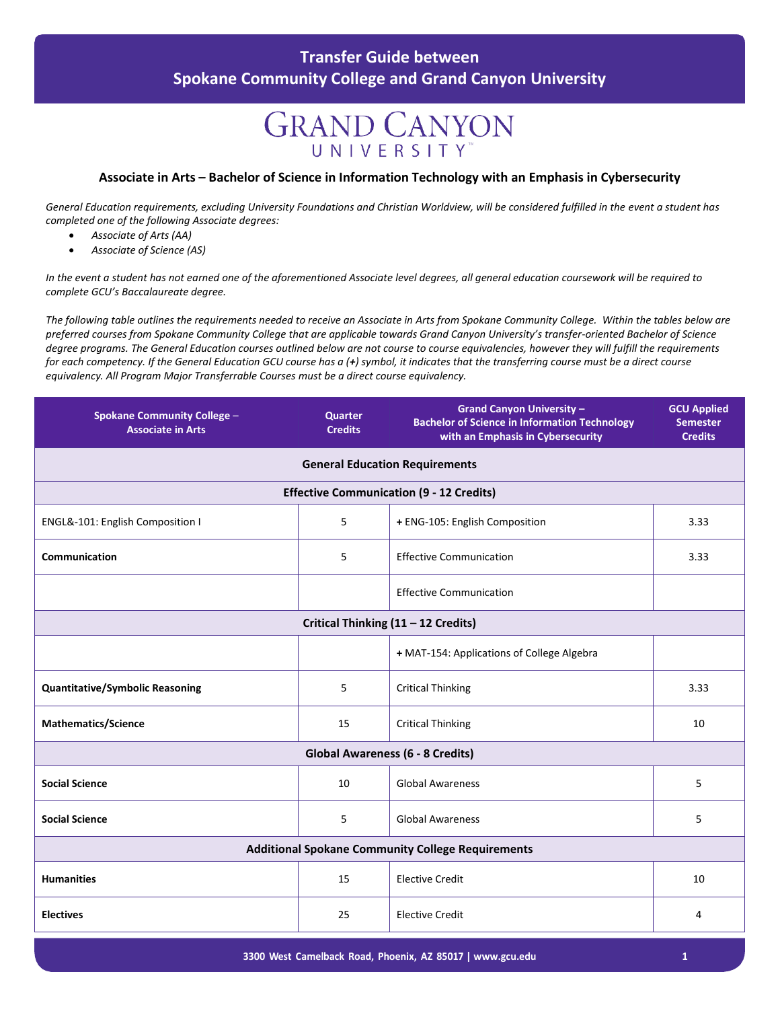#### **Transfer Guide between Spokane Community College and Grand Canyon University**

# **GRAND CANYON** UNIVERSITY

#### **Associate in Arts – Bachelor of Science in Information Technology with an Emphasis in Cybersecurity**

*General Education requirements, excluding University Foundations and Christian Worldview, will be considered fulfilled in the event a student has completed one of the following Associate degrees:*

- *Associate of Arts (AA)*
- *Associate of Science (AS)*

*In the event a student has not earned one of the aforementioned Associate level degrees, all general education coursework will be required to complete GCU's Baccalaureate degree.*

*The following table outlines the requirements needed to receive an Associate in Arts from Spokane Community College. Within the tables below are preferred courses from Spokane Community College that are applicable towards Grand Canyon University's transfer-oriented Bachelor of Science degree programs. The General Education courses outlined below are not course to course equivalencies, however they will fulfill the requirements for each competency. If the General Education GCU course has a (+) symbol, it indicates that the transferring course must be a direct course equivalency. All Program Major Transferrable Courses must be a direct course equivalency.*

| <b>Spokane Community College -</b><br><b>Associate in Arts</b> | Quarter<br><b>Credits</b> | <b>Grand Canyon University -</b><br><b>Bachelor of Science in Information Technology</b><br>with an Emphasis in Cybersecurity | <b>GCU Applied</b><br><b>Semester</b><br><b>Credits</b> |  |  |  |  |
|----------------------------------------------------------------|---------------------------|-------------------------------------------------------------------------------------------------------------------------------|---------------------------------------------------------|--|--|--|--|
| <b>General Education Requirements</b>                          |                           |                                                                                                                               |                                                         |  |  |  |  |
| <b>Effective Communication (9 - 12 Credits)</b>                |                           |                                                                                                                               |                                                         |  |  |  |  |
| ENGL&-101: English Composition I                               | 5                         | + ENG-105: English Composition                                                                                                | 3.33                                                    |  |  |  |  |
| Communication                                                  | 5                         | <b>Effective Communication</b>                                                                                                | 3.33                                                    |  |  |  |  |
|                                                                |                           | <b>Effective Communication</b>                                                                                                |                                                         |  |  |  |  |
| Critical Thinking (11 - 12 Credits)                            |                           |                                                                                                                               |                                                         |  |  |  |  |
|                                                                |                           | + MAT-154: Applications of College Algebra                                                                                    |                                                         |  |  |  |  |
| <b>Quantitative/Symbolic Reasoning</b>                         | 5                         | <b>Critical Thinking</b>                                                                                                      | 3.33                                                    |  |  |  |  |
| <b>Mathematics/Science</b>                                     | 15                        | <b>Critical Thinking</b>                                                                                                      | 10                                                      |  |  |  |  |
| <b>Global Awareness (6 - 8 Credits)</b>                        |                           |                                                                                                                               |                                                         |  |  |  |  |
| <b>Social Science</b>                                          | 10                        | <b>Global Awareness</b>                                                                                                       | 5                                                       |  |  |  |  |
| <b>Social Science</b>                                          | 5                         | <b>Global Awareness</b>                                                                                                       | 5                                                       |  |  |  |  |
| <b>Additional Spokane Community College Requirements</b>       |                           |                                                                                                                               |                                                         |  |  |  |  |
| <b>Humanities</b>                                              | 15                        | <b>Elective Credit</b>                                                                                                        | 10                                                      |  |  |  |  |
| <b>Electives</b>                                               | 25                        | <b>Elective Credit</b>                                                                                                        | 4                                                       |  |  |  |  |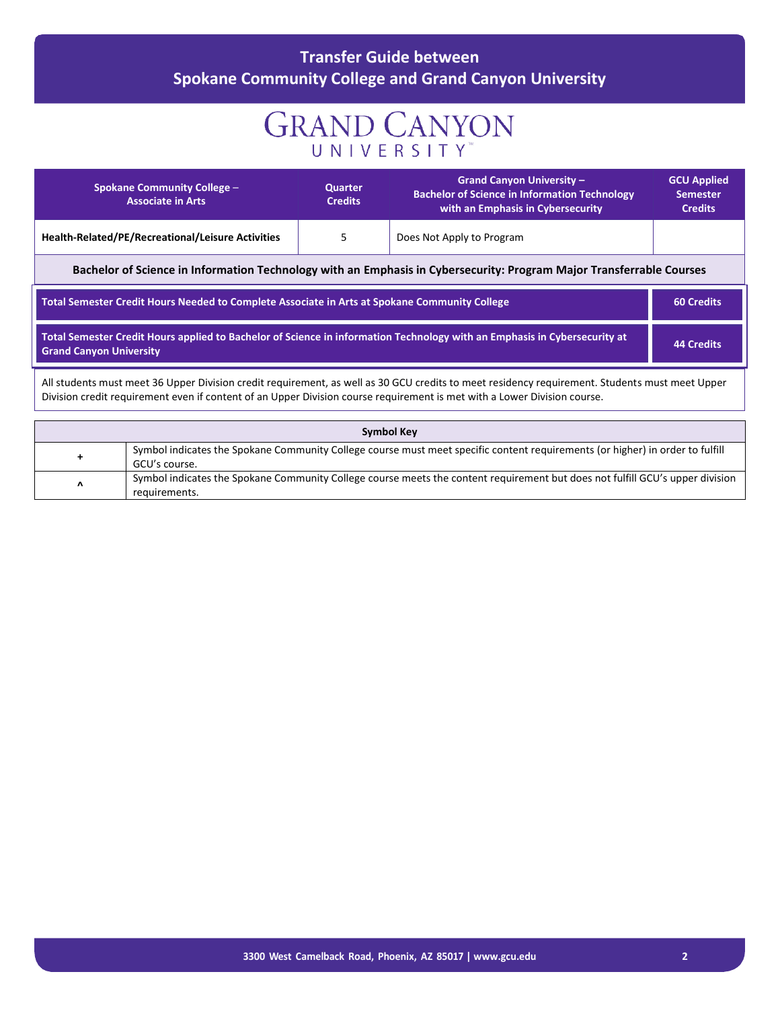### **Transfer Guide between Spokane Community College and Grand Canyon University**

# **GRAND CANYON**

|                                                                                                                                                                                  | <b>Spokane Community College -</b><br><b>Associate in Arts</b>                                                                                 | <b>Quarter</b><br><b>Credits</b> | <b>Grand Canyon University -</b><br><b>Bachelor of Science in Information Technology</b><br>with an Emphasis in Cybersecurity                                                                                                                                              | <b>GCU Applied</b><br><b>Semester</b><br><b>Credits</b> |  |
|----------------------------------------------------------------------------------------------------------------------------------------------------------------------------------|------------------------------------------------------------------------------------------------------------------------------------------------|----------------------------------|----------------------------------------------------------------------------------------------------------------------------------------------------------------------------------------------------------------------------------------------------------------------------|---------------------------------------------------------|--|
|                                                                                                                                                                                  | Health-Related/PE/Recreational/Leisure Activities                                                                                              | 5                                | Does Not Apply to Program                                                                                                                                                                                                                                                  |                                                         |  |
|                                                                                                                                                                                  |                                                                                                                                                |                                  | Bachelor of Science in Information Technology with an Emphasis in Cybersecurity: Program Major Transferrable Courses                                                                                                                                                       |                                                         |  |
| Total Semester Credit Hours Needed to Complete Associate in Arts at Spokane Community College                                                                                    |                                                                                                                                                | <b>60 Credits</b>                |                                                                                                                                                                                                                                                                            |                                                         |  |
| Total Semester Credit Hours applied to Bachelor of Science in information Technology with an Emphasis in Cybersecurity at<br><b>44 Credits</b><br><b>Grand Canyon University</b> |                                                                                                                                                |                                  |                                                                                                                                                                                                                                                                            |                                                         |  |
|                                                                                                                                                                                  |                                                                                                                                                |                                  | All students must meet 36 Upper Division credit requirement, as well as 30 GCU credits to meet residency requirement. Students must meet Upper<br>Division credit requirement even if content of an Upper Division course requirement is met with a Lower Division course. |                                                         |  |
|                                                                                                                                                                                  |                                                                                                                                                |                                  | <b>Symbol Key</b>                                                                                                                                                                                                                                                          |                                                         |  |
| $\ddot{}$                                                                                                                                                                        | Symbol indicates the Spokane Community College course must meet specific content requirements (or higher) in order to fulfill<br>GCU's course. |                                  |                                                                                                                                                                                                                                                                            |                                                         |  |
| Λ                                                                                                                                                                                | requirements.                                                                                                                                  |                                  | Symbol indicates the Spokane Community College course meets the content requirement but does not fulfill GCU's upper division                                                                                                                                              |                                                         |  |